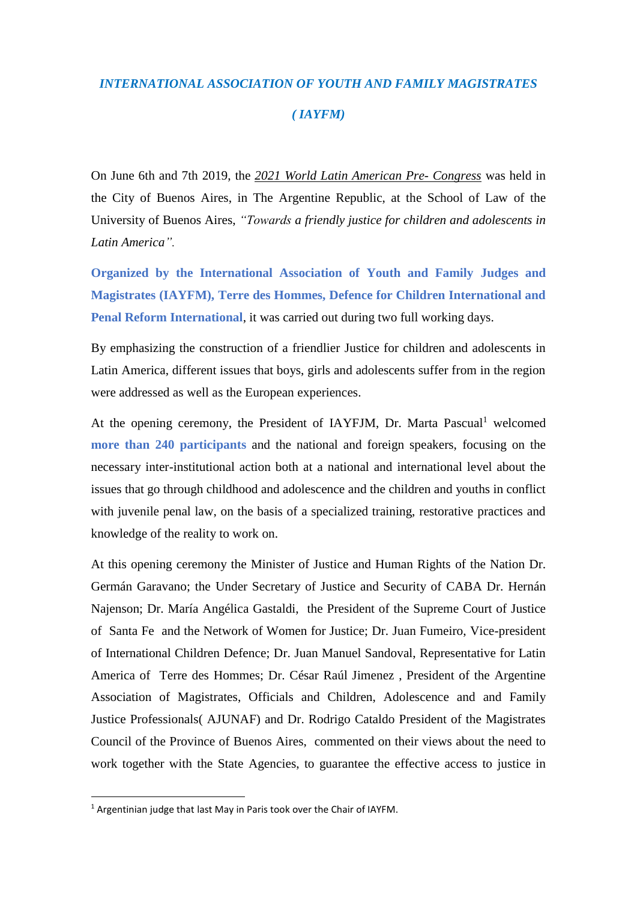## *INTERNATIONAL ASSOCIATION OF YOUTH AND FAMILY MAGISTRATES ( IAYFM)*

On June 6th and 7th 2019, the *2021 World Latin American Pre- Congress* was held in the City of Buenos Aires, in The Argentine Republic, at the School of Law of the University of Buenos Aires, *"Towards a friendly justice for children and adolescents in Latin America".*

**Organized by the International Association of Youth and Family Judges and Magistrates (IAYFM), Terre des Hommes, Defence for Children International and Penal Reform International**, it was carried out during two full working days.

By emphasizing the construction of a friendlier Justice for children and adolescents in Latin America, different issues that boys, girls and adolescents suffer from in the region were addressed as well as the European experiences.

At the opening ceremony, the President of IAYFJM, Dr. Marta Pascual<sup>1</sup> welcomed **more than 240 participants** and the national and foreign speakers, focusing on the necessary inter-institutional action both at a national and international level about the issues that go through childhood and adolescence and the children and youths in conflict with juvenile penal law, on the basis of a specialized training, restorative practices and knowledge of the reality to work on.

At this opening ceremony the Minister of Justice and Human Rights of the Nation Dr. Germán Garavano; the Under Secretary of Justice and Security of CABA Dr. Hernán Najenson; Dr. María Angélica Gastaldi, the President of the Supreme Court of Justice of Santa Fe and the Network of Women for Justice; Dr. Juan Fumeiro, Vice-president of International Children Defence; Dr. Juan Manuel Sandoval, Representative for Latin America of Terre des Hommes; Dr. César Raúl Jimenez , President of the Argentine Association of Magistrates, Officials and Children, Adolescence and and Family Justice Professionals( AJUNAF) and Dr. Rodrigo Cataldo President of the Magistrates Council of the Province of Buenos Aires, commented on their views about the need to work together with the State Agencies, to guarantee the effective access to justice in

1

<sup>&</sup>lt;sup>1</sup> Argentinian judge that last May in Paris took over the Chair of IAYFM.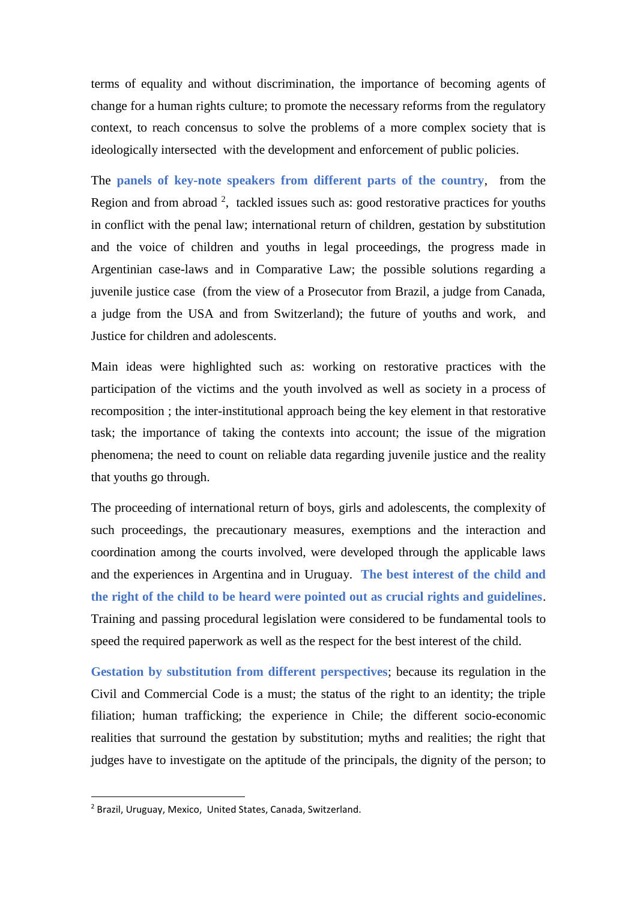terms of equality and without discrimination, the importance of becoming agents of change for a human rights culture; to promote the necessary reforms from the regulatory context, to reach concensus to solve the problems of a more complex society that is ideologically intersected with the development and enforcement of public policies.

The **panels of key-note speakers from different parts of the country**, from the Region and from abroad  $2$ , tackled issues such as: good restorative practices for youths in conflict with the penal law; international return of children, gestation by substitution and the voice of children and youths in legal proceedings, the progress made in Argentinian case-laws and in Comparative Law; the possible solutions regarding a juvenile justice case (from the view of a Prosecutor from Brazil, a judge from Canada, a judge from the USA and from Switzerland); the future of youths and work, and Justice for children and adolescents.

Main ideas were highlighted such as: working on restorative practices with the participation of the victims and the youth involved as well as society in a process of recomposition ; the inter-institutional approach being the key element in that restorative task; the importance of taking the contexts into account; the issue of the migration phenomena; the need to count on reliable data regarding juvenile justice and the reality that youths go through.

The proceeding of international return of boys, girls and adolescents, the complexity of such proceedings, the precautionary measures, exemptions and the interaction and coordination among the courts involved, were developed through the applicable laws and the experiences in Argentina and in Uruguay. **The best interest of the child and the right of the child to be heard were pointed out as crucial rights and guidelines**. Training and passing procedural legislation were considered to be fundamental tools to speed the required paperwork as well as the respect for the best interest of the child.

**Gestation by substitution from different perspectives**; because its regulation in the Civil and Commercial Code is a must; the status of the right to an identity; the triple filiation; human trafficking; the experience in Chile; the different socio-economic realities that surround the gestation by substitution; myths and realities; the right that judges have to investigate on the aptitude of the principals, the dignity of the person; to

1

<sup>2</sup> Brazil, Uruguay, Mexico, United States, Canada, Switzerland.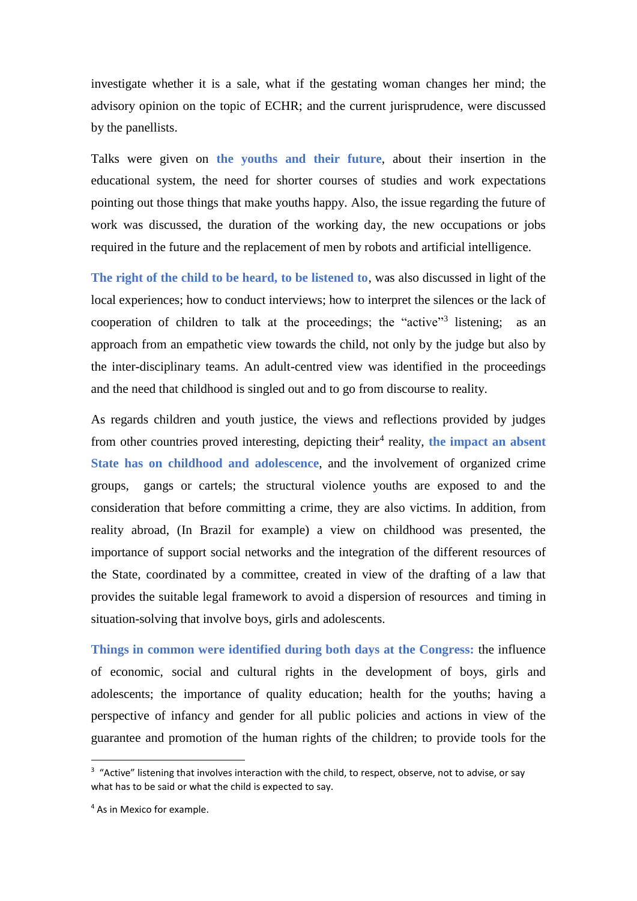investigate whether it is a sale, what if the gestating woman changes her mind; the advisory opinion on the topic of ECHR; and the current jurisprudence, were discussed by the panellists.

Talks were given on **the youths and their future**, about their insertion in the educational system, the need for shorter courses of studies and work expectations pointing out those things that make youths happy. Also, the issue regarding the future of work was discussed, the duration of the working day, the new occupations or jobs required in the future and the replacement of men by robots and artificial intelligence.

**The right of the child to be heard, to be listened to**, was also discussed in light of the local experiences; how to conduct interviews; how to interpret the silences or the lack of cooperation of children to talk at the proceedings; the "active"<sup>3</sup> listening; as an approach from an empathetic view towards the child, not only by the judge but also by the inter-disciplinary teams. An adult-centred view was identified in the proceedings and the need that childhood is singled out and to go from discourse to reality.

As regards children and youth justice, the views and reflections provided by judges from other countries proved interesting, depicting their<sup>4</sup> reality, the impact an absent **State has on childhood and adolescence**, and the involvement of organized crime groups, gangs or cartels; the structural violence youths are exposed to and the consideration that before committing a crime, they are also victims. In addition, from reality abroad, (In Brazil for example) a view on childhood was presented, the importance of support social networks and the integration of the different resources of the State, coordinated by a committee, created in view of the drafting of a law that provides the suitable legal framework to avoid a dispersion of resources and timing in situation-solving that involve boys, girls and adolescents.

**Things in common were identified during both days at the Congress:** the influence of economic, social and cultural rights in the development of boys, girls and adolescents; the importance of quality education; health for the youths; having a perspective of infancy and gender for all public policies and actions in view of the guarantee and promotion of the human rights of the children; to provide tools for the

**.** 

<sup>&</sup>lt;sup>3</sup> "Active" listening that involves interaction with the child, to respect, observe, not to advise, or say what has to be said or what the child is expected to say.

<sup>4</sup> As in Mexico for example.